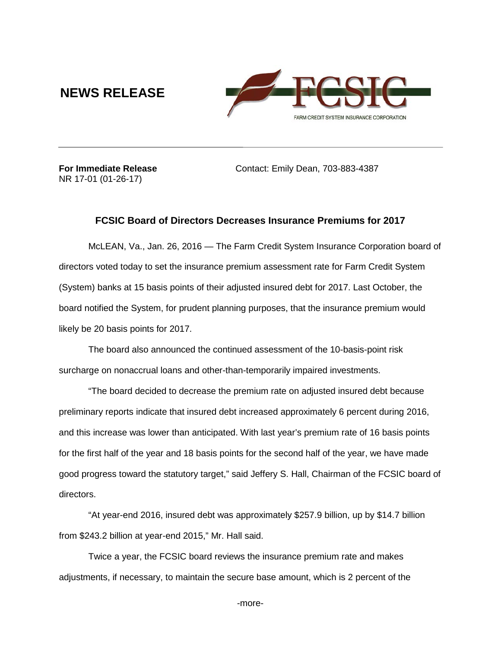## **NEWS RELEASE**



NR 17-01 (01-26-17)

**For Immediate Release Contact: Emily Dean, 703-883-4387** 

## **FCSIC Board of Directors Decreases Insurance Premiums for 2017**

McLEAN, Va., Jan. 26, 2016 — The Farm Credit System Insurance Corporation board of directors voted today to set the insurance premium assessment rate for Farm Credit System (System) banks at 15 basis points of their adjusted insured debt for 2017. Last October, the board notified the System, for prudent planning purposes, that the insurance premium would likely be 20 basis points for 2017.

The board also announced the continued assessment of the 10-basis-point risk surcharge on nonaccrual loans and other-than-temporarily impaired investments.

"The board decided to decrease the premium rate on adjusted insured debt because preliminary reports indicate that insured debt increased approximately 6 percent during 2016, and this increase was lower than anticipated. With last year's premium rate of 16 basis points for the first half of the year and 18 basis points for the second half of the year, we have made good progress toward the statutory target," said Jeffery S. Hall, Chairman of the FCSIC board of directors.

"At year-end 2016, insured debt was approximately \$257.9 billion, up by \$14.7 billion from \$243.2 billion at year-end 2015," Mr. Hall said.

Twice a year, the FCSIC board reviews the insurance premium rate and makes adjustments, if necessary, to maintain the secure base amount, which is 2 percent of the